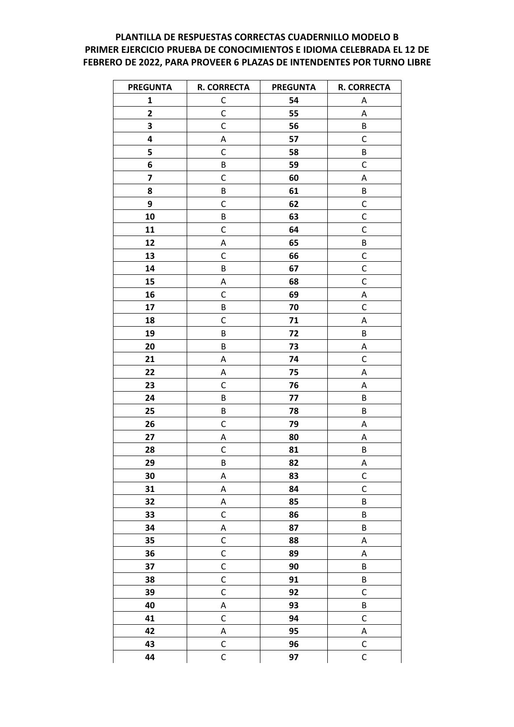## PLANTILLA DE RESPUESTAS CORRECTAS CUADERNILLO MODELO B PRIMER EJERCICIO PRUEBA DE CONOCIMIENTOS E IDIOMA CELEBRADA EL 12 DE FEBRERO DE 2022, PARA PROVEER 6 PLAZAS DE INTENDENTES POR TURNO LIBRE

| <b>PREGUNTA</b>         | <b>R. CORRECTA</b> | <b>PREGUNTA</b> | <b>R. CORRECTA</b> |
|-------------------------|--------------------|-----------------|--------------------|
| 1                       | C                  | 54              | A                  |
| $\mathbf{2}$            | $\mathsf{C}$       | 55              | Α                  |
| 3                       | C                  | 56              | B                  |
| 4                       | Α                  | 57              | $\mathsf C$        |
| 5                       | C                  | 58              | B                  |
| 6                       | B                  | 59              | $\mathsf C$        |
| $\overline{\mathbf{z}}$ | C                  | 60              | Α                  |
| 8                       | B                  | 61              | B                  |
| 9                       | C                  | 62              | $\mathsf C$        |
| 10                      | B                  | 63              | $\mathsf C$        |
| 11                      | C                  | 64              | $\mathsf C$        |
| 12                      | Α                  | 65              | $\sf B$            |
| 13                      | C                  | 66              | $\mathsf C$        |
| 14                      | B                  | 67              | $\mathsf C$        |
| 15                      | Α                  | 68              | $\mathsf{C}$       |
| 16                      | C                  | 69              | Α                  |
| 17                      | B                  | 70              | $\mathsf C$        |
| 18                      | C                  | 71              | А                  |
| 19                      | B                  | 72              | $\sf B$            |
| 20                      | B                  | 73              | Α                  |
| 21                      | Α                  | 74              | $\mathsf C$        |
| 22                      | Α                  | 75              | А                  |
| 23                      | C                  | 76              | А                  |
| 24                      | B                  | 77              | B                  |
| 25                      | B                  | 78              | B                  |
| 26                      | C                  | 79              | А                  |
| 27                      | Α                  | 80              | А                  |
| 28                      | C                  | 81              | B                  |
| 29                      | B                  | 82              | А                  |
| 30                      | Α                  | 83              | $\mathsf{C}$       |
| 31                      | A                  | 84              | $\mathsf C$        |
| 32                      | Α                  | 85              | $\sf B$            |
| 33                      | $\mathsf C$        | 86              | $\sf B$            |
| 34                      | A                  | 87              | B                  |
| 35                      | $\mathsf C$        | 88              | А                  |
| 36                      | $\mathsf C$        | 89              | А                  |
| 37                      | $\mathsf C$        | 90              | B                  |
| 38                      | $\mathsf C$        | 91              | $\sf B$            |
| 39                      | $\mathsf C$        | 92              | $\mathsf C$        |
| 40                      | A                  | 93              | B                  |
| 41                      | $\mathsf C$        | 94              | $\mathsf C$        |
| 42                      | A                  | 95              | A                  |
| 43                      | $\mathsf C$        | 96              | $\mathsf C$        |
| 44                      | $\mathsf C$        | 97              | $\mathsf C$        |